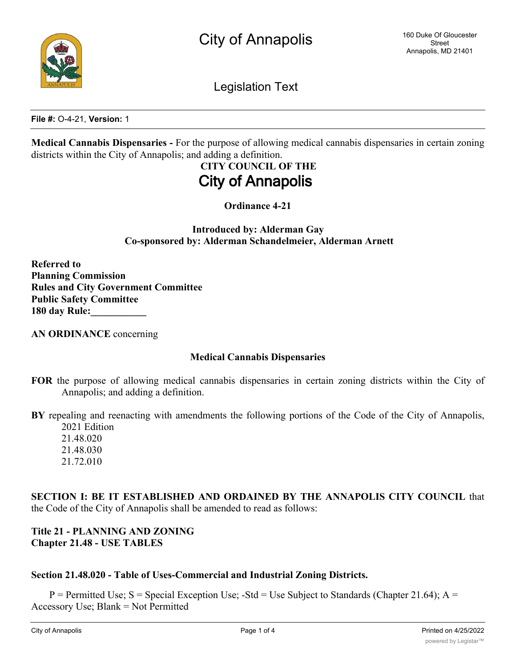

Legislation Text

**File #:** O-4-21, **Version:** 1

**Medical Cannabis Dispensaries -** For the purpose of allowing medical cannabis dispensaries in certain zoning districts within the City of Annapolis; and adding a definition.

# **CITY COUNCIL OF THE City of Annapolis**

**Ordinance 4-21**

**Introduced by: Alderman Gay Co-sponsored by: Alderman Schandelmeier, Alderman Arnett**

**Referred to Planning Commission Rules and City Government Committee Public Safety Committee 180 day Rule:\_\_\_\_\_\_\_\_\_\_\_**

**AN ORDINANCE** concerning

## **Medical Cannabis Dispensaries**

**FOR** the purpose of allowing medical cannabis dispensaries in certain zoning districts within the City of Annapolis; and adding a definition.

**BY** repealing and reenacting with amendments the following portions of the Code of the City of Annapolis, 2021 Edition

21.48.020 21.48.030 21.72.010

**SECTION I: BE IT ESTABLISHED AND ORDAINED BY THE ANNAPOLIS CITY COUNCIL** that the Code of the City of Annapolis shall be amended to read as follows:

## **Title 21 - PLANNING AND ZONING Chapter 21.48 - USE TABLES**

## **Section 21.48.020 - Table of Uses-Commercial and Industrial Zoning Districts.**

 $P =$  Permitted Use; S = Special Exception Use; -Std = Use Subject to Standards (Chapter 21.64); A = Accessory Use; Blank = Not Permitted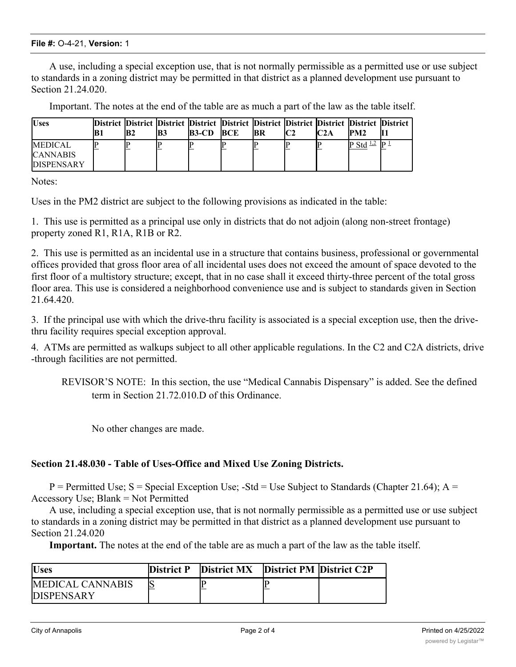#### **File #:** O-4-21, **Version:** 1

A use, including a special exception use, that is not normally permissible as a permitted use or use subject to standards in a zoning district may be permitted in that district as a planned development use pursuant to Section 21.24.020.

Important. The notes at the end of the table are as much a part of the law as the table itself.

| <b>Uses</b>                                            | lB2 | B3 | District District District District District District District District District District<br><b>B3-CD</b> | <b>BCE</b> | IBR | C2A | IPM2                  |  |
|--------------------------------------------------------|-----|----|-----------------------------------------------------------------------------------------------------------|------------|-----|-----|-----------------------|--|
| <b>MEDICAL</b><br><b>CANNABIS</b><br><b>DISPENSARY</b> |     |    |                                                                                                           |            |     |     | P Std $\frac{1.2}{5}$ |  |

Notes:

Uses in the PM2 district are subject to the following provisions as indicated in the table:

1. This use is permitted as a principal use only in districts that do not adjoin (along non-street frontage) property zoned R1, R1A, R1B or R2.

2. This use is permitted as an incidental use in a structure that contains business, professional or governmental offices provided that gross floor area of all incidental uses does not exceed the amount of space devoted to the first floor of a multistory structure; except, that in no case shall it exceed thirty-three percent of the total gross floor area. This use is considered a neighborhood convenience use and is subject to standards given in Section 21.64.420.

3. If the principal use with which the drive-thru facility is associated is a special exception use, then the drivethru facility requires special exception approval.

4. ATMs are permitted as walkups subject to all other applicable regulations. In the C2 and C2A districts, drive -through facilities are not permitted.

REVISOR'S NOTE: In this section, the use "Medical Cannabis Dispensary" is added. See the defined term in Section 21.72.010.D of this Ordinance.

No other changes are made.

## **Section 21.48.030 - Table of Uses-Office and Mixed Use Zoning Districts.**

 $P =$  Permitted Use; S = Special Exception Use; -Std = Use Subject to Standards (Chapter 21.64); A = Accessory Use; Blank = Not Permitted

A use, including a special exception use, that is not normally permissible as a permitted use or use subject to standards in a zoning district may be permitted in that district as a planned development use pursuant to Section 21.24.020

**Important.** The notes at the end of the table are as much a part of the law as the table itself.

| <b>Uses</b>        | District P District MX District PM District C2P |  |
|--------------------|-------------------------------------------------|--|
| IMEDICAL CANNARIS  |                                                 |  |
| <b>IDISPENSARY</b> |                                                 |  |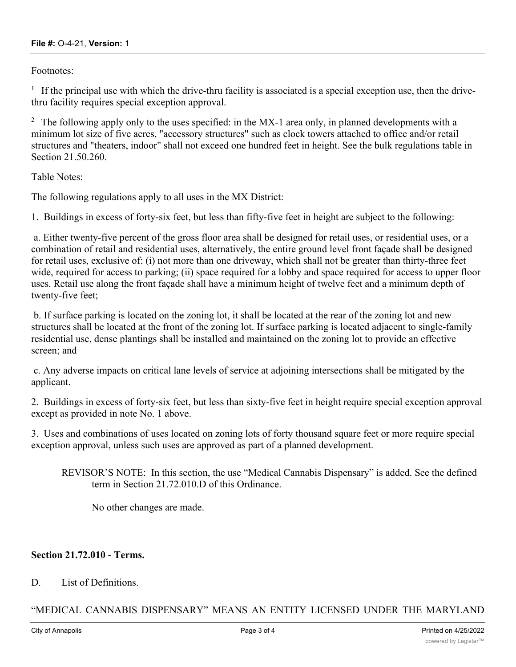#### **File #:** O-4-21, **Version:** 1

Footnotes:

 $1$  If the principal use with which the drive-thru facility is associated is a special exception use, then the drivethru facility requires special exception approval.

<sup>2</sup> The following apply only to the uses specified: in the MX-1 area only, in planned developments with a minimum lot size of five acres, "accessory structures" such as clock towers attached to office and/or retail structures and "theaters, indoor" shall not exceed one hundred feet in height. See the bulk regulations table in Section 21.50.260.

Table Notes:

The following regulations apply to all uses in the MX District:

1. Buildings in excess of forty-six feet, but less than fifty-five feet in height are subject to the following:

 a. Either twenty-five percent of the gross floor area shall be designed for retail uses, or residential uses, or a combination of retail and residential uses, alternatively, the entire ground level front façade shall be designed for retail uses, exclusive of: (i) not more than one driveway, which shall not be greater than thirty-three feet wide, required for access to parking; (ii) space required for a lobby and space required for access to upper floor uses. Retail use along the front façade shall have a minimum height of twelve feet and a minimum depth of twenty-five feet;

 b. If surface parking is located on the zoning lot, it shall be located at the rear of the zoning lot and new structures shall be located at the front of the zoning lot. If surface parking is located adjacent to single-family residential use, dense plantings shall be installed and maintained on the zoning lot to provide an effective screen; and

 c. Any adverse impacts on critical lane levels of service at adjoining intersections shall be mitigated by the applicant.

2. Buildings in excess of forty-six feet, but less than sixty-five feet in height require special exception approval except as provided in note No. 1 above.

3. Uses and combinations of uses located on zoning lots of forty thousand square feet or more require special exception approval, unless such uses are approved as part of a planned development.

REVISOR'S NOTE: In this section, the use "Medical Cannabis Dispensary" is added. See the defined term in Section 21.72.010.D of this Ordinance.

No other changes are made.

### **Section 21.72.010 - Terms.**

#### D. List of Definitions.

## "MEDICAL CANNABIS DISPENSARY" MEANS AN ENTITY LICENSED UNDER THE MARYLAND